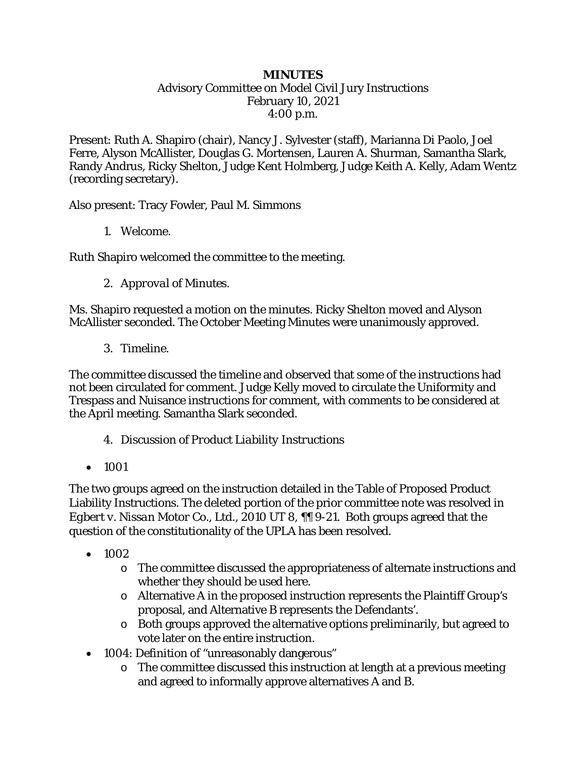## *MINUTES*

## Advisory Committee on Model Civil Jury Instructions February 10, 2021 4:00 p.m.

Present: Ruth A. Shapiro (chair), Nancy J. Sylvester (staff), Marianna Di Paolo, Joel Ferre, Alyson McAllister, Douglas G. Mortensen, Lauren A. Shurman, Samantha Slark, Randy Andrus, Ricky Shelton, Judge Kent Holmberg, Judge Keith A. Kelly, Adam Wentz (recording secretary).

Also present: Tracy Fowler, Paul M. Simmons

1. *Welcome.*

Ruth Shapiro welcomed the committee to the meeting.

2. *Approval of Minutes.*

Ms. Shapiro requested a motion on the minutes. Ricky Shelton moved and Alyson McAllister seconded. The October Meeting Minutes were unanimously approved.

3. Timeline.

The committee discussed the timeline and observed that some of the instructions had not been circulated for comment. Judge Kelly moved to circulate the Uniformity and Trespass and Nuisance instructions for comment, with comments to be considered at the April meeting. Samantha Slark seconded.

- 4. *Discussion of Product Liability Instructions*
- 1001

The two groups agreed on the instruction detailed in the Table of Proposed Product Liability Instructions. The deleted portion of the prior committee note was resolved in *Egbert v. Nissan Motor Co., Ltd.*, 2010 UT 8, ¶¶ 9-21. Both groups agreed that the question of the constitutionality of the UPLA has been resolved.

- 1002
	- o The committee discussed the appropriateness of alternate instructions and whether they should be used here.
	- o Alternative A in the proposed instruction represents the Plaintiff Group's proposal, and Alternative B represents the Defendants'.
	- o Both groups approved the alternative options preliminarily, but agreed to vote later on the entire instruction.
- 1004: Definition of "unreasonably dangerous"
	- o The committee discussed this instruction at length at a previous meeting and agreed to informally approve alternatives A and B.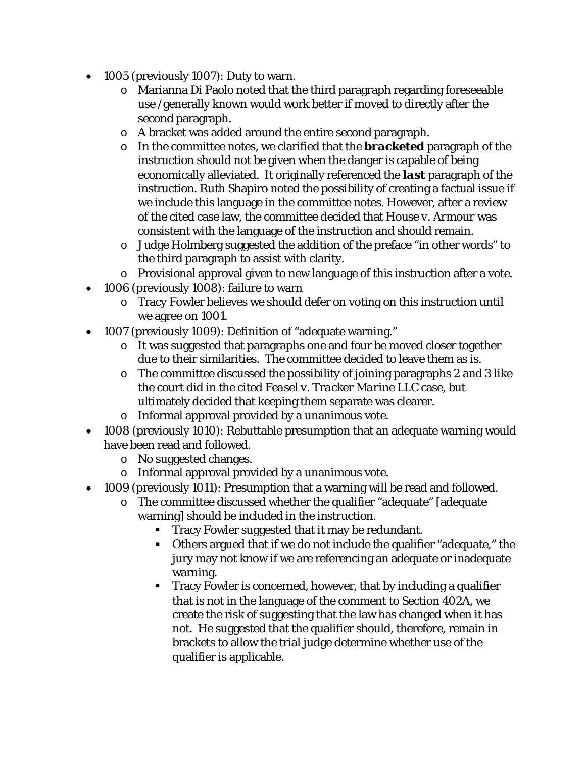- 1005 (previously 1007): Duty to warn.
	- o Marianna Di Paolo noted that the third paragraph regarding foreseeable use /generally known would work better if moved to directly after the second paragraph.
	- o A bracket was added around the entire second paragraph.
	- o In the committee notes, we clarified that the *bracketed* paragraph of the instruction should not be given when the danger is capable of being economically alleviated. It originally referenced the *last* paragraph of the instruction. Ruth Shapiro noted the possibility of creating a factual issue if we include this language in the committee notes. However, after a review of the cited case law, the committee decided that *House v. Armour* was consistent with the language of the instruction and should remain.
	- o Judge Holmberg suggested the addition of the preface "in other words" to the third paragraph to assist with clarity.
	- o Provisional approval given to new language of this instruction after a vote.
- 1006 (previously 1008): failure to warn
	- o Tracy Fowler believes we should defer on voting on this instruction until we agree on 1001.
- 1007 (previously 1009): Definition of "adequate warning."
	- o It was suggested that paragraphs one and four be moved closer together due to their similarities. The committee decided to leave them as is.
	- o The committee discussed the possibility of joining paragraphs 2 and 3 like the court did in the cited *Feasel v. Tracker Marine LLC* case, but ultimately decided that keeping them separate was clearer.
	- o Informal approval provided by a unanimous vote.
- 1008 (previously 1010): Rebuttable presumption that an adequate warning would have been read and followed.
	- o No suggested changes.
	- o Informal approval provided by a unanimous vote.
- 1009 (previously 1011): Presumption that a warning will be read and followed.
	- o The committee discussed whether the qualifier "adequate" [adequate warning] should be included in the instruction.
		- Tracy Fowler suggested that it may be redundant.
		- Others argued that if we do not include the qualifier "adequate," the jury may not know if we are referencing an adequate or inadequate warning.
		- Tracy Fowler is concerned, however, that by including a qualifier that is not in the language of the comment to Section 402A, we create the risk of suggesting that the law has changed when it has not. He suggested that the qualifier should, therefore, remain in brackets to allow the trial judge determine whether use of the qualifier is applicable.